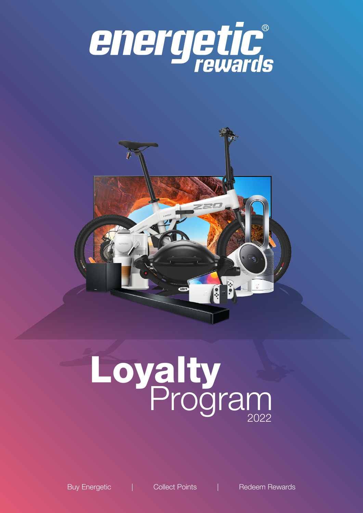



# Loyalty<br>Program

Buy Energetic | Collect Points | Redeem Rewards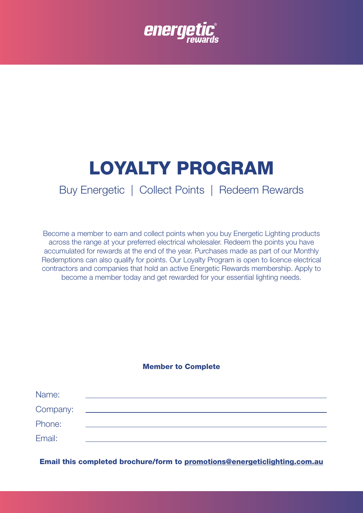

# LOYALTY PROGRAM

# Buy Energetic | Collect Points | Redeem Rewards

Become a member to earn and collect points when you buy Energetic Lighting products across the range at your preferred electrical wholesaler. Redeem the points you have accumulated for rewards at the end of the year. Purchases made as part of our Monthly Redemptions can also qualify for points. Our Loyalty Program is open to licence electrical contractors and companies that hold an active Energetic Rewards membership. Apply to become a member today and get rewarded for your essential lighting needs.

### Member to Complete

| Name:    |  |  |
|----------|--|--|
| Company: |  |  |
| Phone:   |  |  |
| Email:   |  |  |

Email this completed brochure/form to promotions@energeticlighting.com.au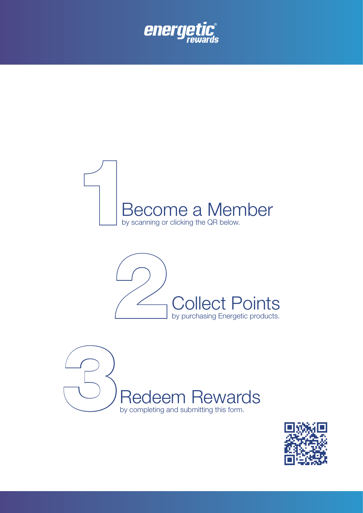







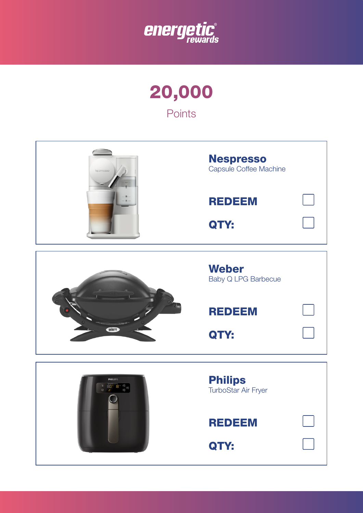





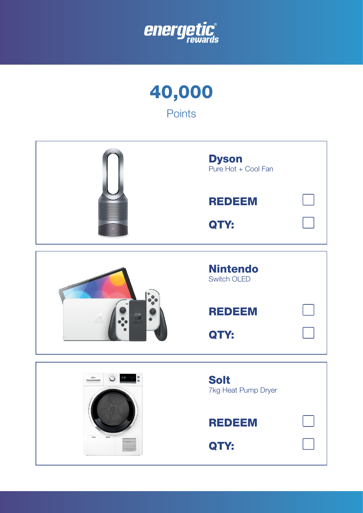

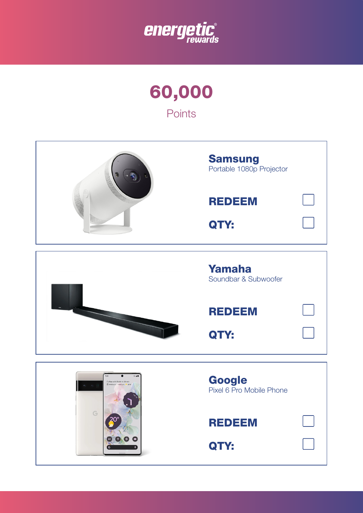

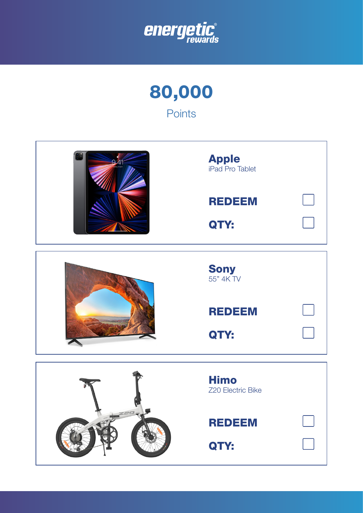

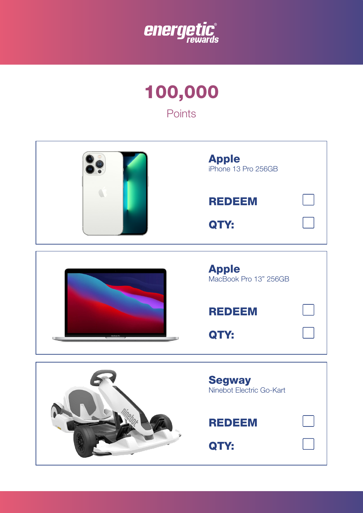

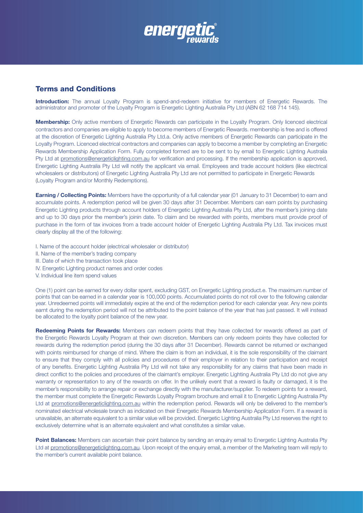

## Terms and Conditions

Introduction: The annual Loyalty Program is spend-and-redeem initiative for members of Energetic Rewards. The administrator and promoter of the Loyalty Program is Energetic Lighting Australia Pty Ltd (ABN 62 168 714 145).

Membership: Only active members of Energetic Rewards can participate in the Loyalty Program. Only licenced electrical contractors and companies are eligible to apply to become members of Energetic Rewards. membership is free and is offered at the discretion of Energetic Lighting Australia Pty Ltd.a. Only active members of Energetic Rewards can participate in the Loyalty Program. Licenced electrical contractors and companies can apply to become a member by completing an Energetic Rewards Membership Application Form. Fully completed formed are to be sent to by email to Energetic Lighting Australia Pty Ltd at [promotions@energeticlighting.com.au](mailto:promotions@energeticlighting.com.au) for verification and processing. If the membership application is approved, Energetic Lighting Australia Pty Ltd will notify the applicant via email. Employees and trade account holders (like electrical wholesalers or distributors) of Energetic Lighting Australia Pty Ltd are not permitted to participate in Energetic Rewards (Loyalty Program and/or Monthly Redemptions).

**Earning / Collecting Points:** Members have the opportunity of a full calendar year (01 January to 31 December) to earn and accumulate points. A redemption period will be given 30 days after 31 December. Members can earn points by purchasing Energetic Lighting products through account holders of Energetic Lighting Australia Pty Ltd, after the member's joining date and up to 30 days prior the member's joinin date. To claim and be rewarded with points, members must provide proof of purchase in the form of tax invoices from a trade account holder of Energetic Lighting Australia Pty Ltd. Tax invoices must clearly display all the of the following:

- I. Name of the account holder (electrical wholesaler or distributor)
- II. Name of the member's trading company
- III. Date of which the transaction took place
- IV. Energetic Lighting product names and order codes
- V. Individual line item spend values

One (1) point can be earned for every dollar spent, excluding GST, on Energetic Lighting product.e. The maximum number of points that can be earned in a calendar year is 100,000 points. Accumulated points do not roll over to the following calendar year. Unredeemed points will immediately expire at the end of the redemption period for each calendar year. Any new points earnt during the redemption period will not be attributed to the point balance of the year that has just passed. It will instead be allocated to the loyalty point balance of the new year.

Redeeming Points for Rewards: Members can redeem points that they have collected for rewards offered as part of the Energetic Rewards Loyalty Program at their own discretion. Members can only redeem points they have collected for rewards during the redemption period (during the 30 days after 31 December). Rewards cannot be returned or exchanged with points reimbursed for change of mind. Where the claim is from an individual, it is the sole responsibility of the claimant to ensure that they comply with all policies and procedures of their employer in relation to their participation and receipt of any benefits. Energetic Lighting Australia Pty Ltd will not take any responsibility for any claims that have been made in direct conflict to the policies and procedures of the claimant's employer. Energetic Lighting Australia Pty Ltd do not give any warranty or representation to any of the rewards on offer. In the unlikely event that a reward is faulty or damaged, it is the member's responsibility to arrange repair or exchange directly with the manufacturer/supplier. To redeem points for a reward, the member must complete the Energetic Rewards Loyalty Program brochure and email it to Energetic Lighting Australia Pty Ltd at [promotions@energeticlighting.com.au](mailto:promotions@energeticlighting.com.au) within the redemption period. Rewards will only be delivered to the member's nominated electrical wholesale branch as indicated on their Energetic Rewards Membership Application Form. If a reward is unavailable, an alternate equivalent to a similar value will be provided. Energetic Lighting Australia Pty Ltd reserves the right to exclusively determine what is an alternate equivalent and what constitutes a similar value.

Point Balances: Members can ascertain their point balance by sending an enquiry email to Energetic Lighting Australia Pty Ltd at [promotions@energeticlighting.com.au.](mailto:promotions@energeticlighting.com.au) Upon receipt of the enquiry email, a member of the Marketing team will reply to the member's current available point balance.